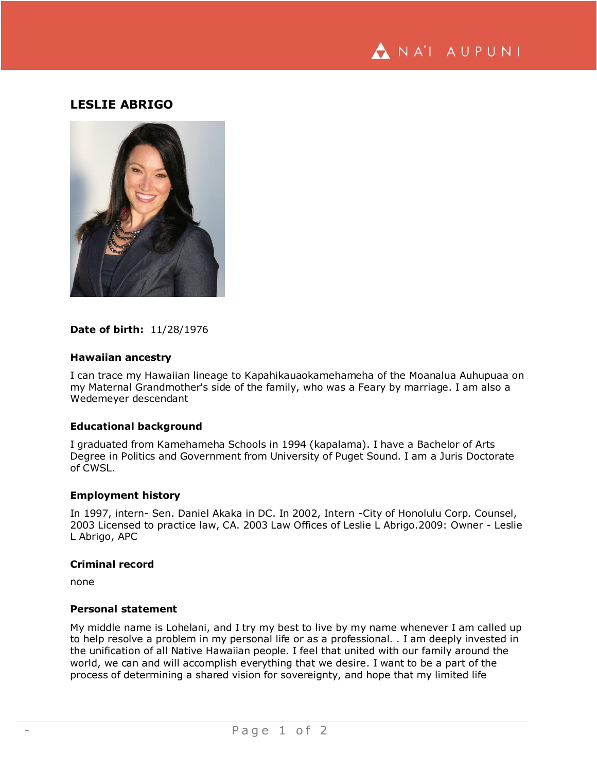

# **LESLIE ABRIGO**



#### **Date of birth:** 11/28/1976

#### **Hawaiian ancestry**

I can trace my Hawaiian lineage to Kapahikauaokamehameha of the Moanalua Auhupuaa on my Maternal Grandmother's side of the family, who was a Feary by marriage. I am also a Wedemeyer descendant

### **Educational background**

I graduated from Kamehameha Schools in 1994 (kapalama). I have a Bachelor of Arts Degree in Politics and Government from University of Puget Sound. I am a Juris Doctorate of CWSL.

#### **Employment history**

In 1997, intern- Sen. Daniel Akaka in DC. In 2002, Intern -City of Honolulu Corp. Counsel, 2003 Licensed to practice law, CA. 2003 Law Offices of Leslie L Abrigo.2009: Owner - Leslie L Abrigo, APC

#### **Criminal record**

none

#### **Personal statement**

My middle name is Lohelani, and I try my best to live by my name whenever I am called up to help resolve a problem in my personal life or as a professional. . I am deeply invested in the unification of all Native Hawaiian people. I feel that united with our family around the world, we can and will accomplish everything that we desire. I want to be a part of the process of determining a shared vision for sovereignty, and hope that my limited life